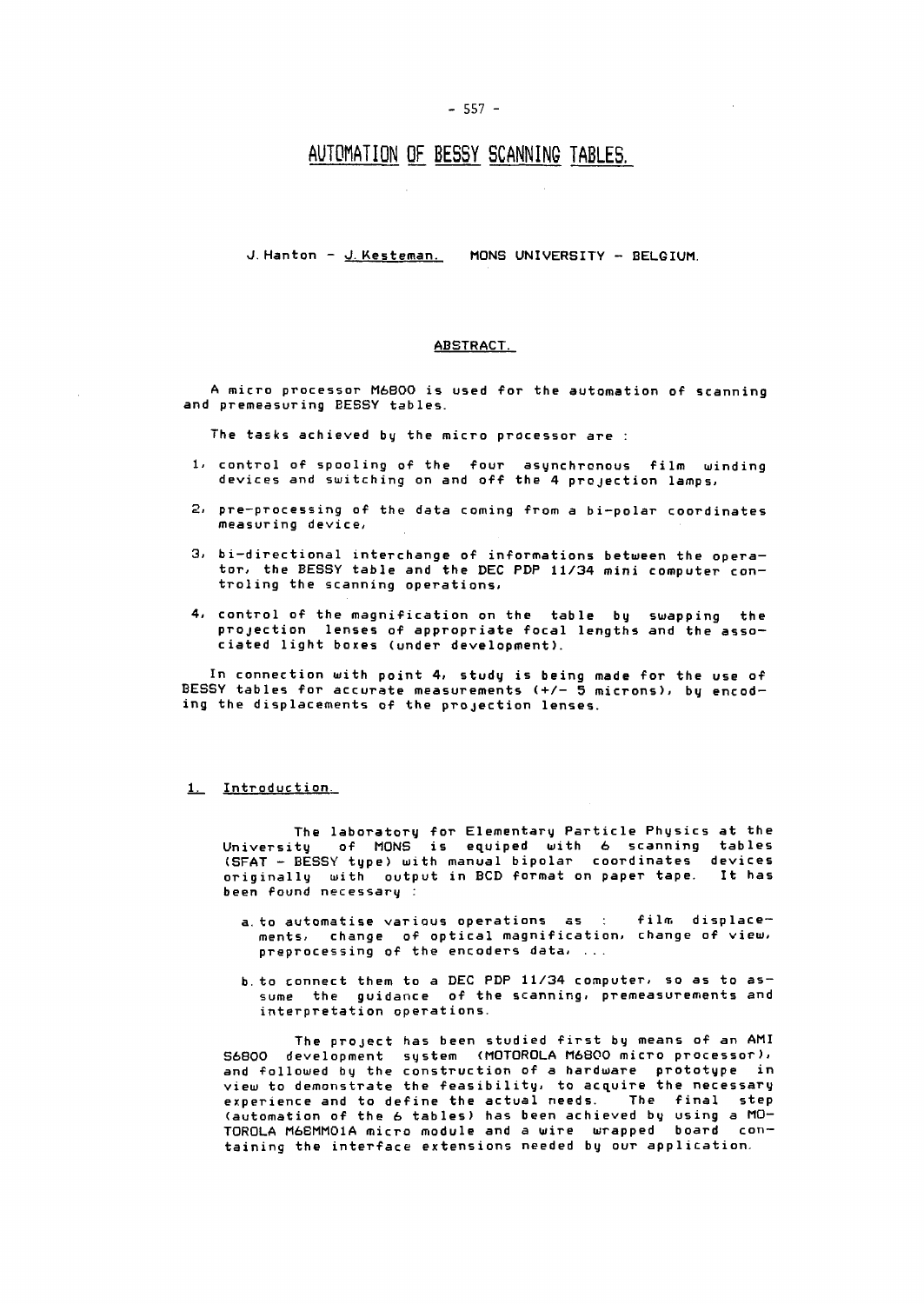# **AUTOMATION OF BESSY SCANNING TABLES.**

#### **J.Hanton - J.Kesteman. MÖNS UNIVERSITY - BELGIUM.**

## **ABSTRACT.**

**A micro processor M6B00 is used for the automation of scanning and premeasuring EESSY tables.** 

**The tasks achieved by the micro processor are :** 

- **1/ control of spooling of the four asynchronous film minding devices and switching on and off the 4 projection lamps,**
- 2, **pre-processing of the data coming from a bi-polar coordinates measuring device,**
- **3 i bi-directional interchange of informations between the opera**tor, the BESSY table and the DEC PDP 11/34 mini computer con**troling the scanning operations,**
- **4, control of the magnification on the table by swapping the projection lenses of appropriate focal lengths and the asso ciated light boxes (under development).**

**In connection with point 4, study is being made for the use of BESSY tables for accurate measurements (+/- 5 microns), by encoding the displacements of the projection lenses.** 

### **1. Introduction**

**The laboratory for Elementary Particle Physics at the University of MÖNS is equiped with 6 scanning tables (SFAT - BESSY type) with manual bipolar coordinates devices originally with output in BCD format on paper tape. It has been found necessary** 

- a. to automatise various operations as : film displace**ments, change of optical magnification, change of view, preprocessing of the encoders data, ...**
- **b.to connect them to a DEC PDP 11/34 computer, so as to as sume the guidance of the scanning, premeasurements and interpretation operations.**

**The project has been studied first by means of an AMI S6800 development system (MOTOROLA M6800 micro processor), and followed by the construction of a hardware prototype in view to demonstrate the feasibility, to acquire the necessary experience and to define the actual needs. The final step (automation of the 6 tables) has been achieved by using a MO-TOROLA M6EMM01A micro module and a wire wrapped board containing the interface extensions needed by our application.**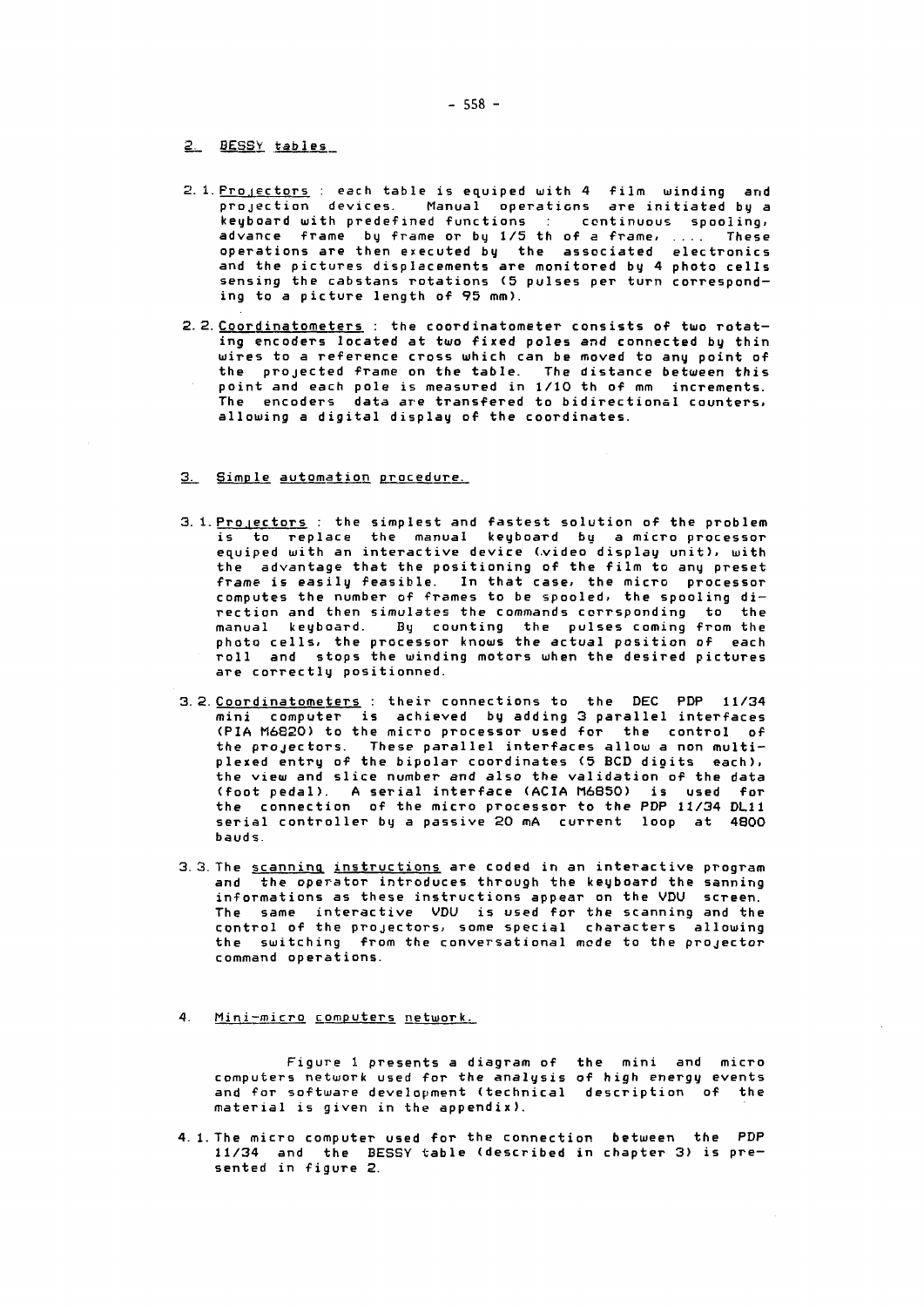**BESSY tables** 

- **1. Pro lectors : each table is equiped ujith 4 film winding arid projection devices. Manual operations are initiated** b y **a keyboard with predefined functions continuous spooling,**  advance frame by frame or by 1/5 th of a frame, .... These **operations are then executed by the associated electronics and the pictures displacements are monitored** b y **4 photo cells sensing the cabstans rotations <5 pulses per turn corresponding to a picture length of 95 mm).**
- **2.Coordinatometers : the coordinatometer consists of two rotating encoders located at two fixed poles and connected by thin wires to a reference cross which can be moved to any point of the projected frame on the table. The distance between this point and each pole is measured in 1/10 th of mm increments. The encoders data are transfered to bidirectional countersi allowing a digital display of the coordinates.**
- **Simp le automation procedure.**
- **. Projectors : the simplest and fastest solution of the problem is to replace the manual keyboard by a micro processor equiped with an interactive device (.video display unit), with the advantage that the positioning of the film to any preset frame is easily feasible. In that case, the micro processor computes the number of frames to be spooled, the spooling direction and then simulates the commands corrsponding to the manual keyboard. By counting the pulses coming from the photo cells, the processor knows the actual position of each roll and stops the winding motors when the desired pictures are correctly positionned.**
- **Coordinatometers : their connections to the DEC PDP 11/34 mini computer is achieved by adding 3 parallel interfaces (PIA M6820) to the micro processor used for the control of the projectors. These parallel interfaces allow a non multiplexed entry of the bipolar coordinates (5 BCD digits each), the view and slice number and also the validation of the data**  (foot pedal). A serial interface (ACIA M6850) is used for **the connection of the micro processor to the PDP 11/34 DL11 serial controller by a passive 20 mA current loop at 4800 bauds.**
- **The scanning instruc tions are coded in an interactive program and the operator introduces through the keyboard the sanning informations as these instructions appear on the VDU screen. The same interactive VDU is used for the scanning and the control of the projectors, some special characters allowing the switching from the conversational mode to the projector command operations.**
- **4.** Mini-micro computers network.

**Figure 1 presents a diagram of the mini and micro computers network used for the analysis of high energy events and for software development (technical description of the material is given in the appendix).** 

**l.The micro computer used for the connection between the PDP 11/34 and the BESSY table (described in chapter 3) is presented in figure 2.**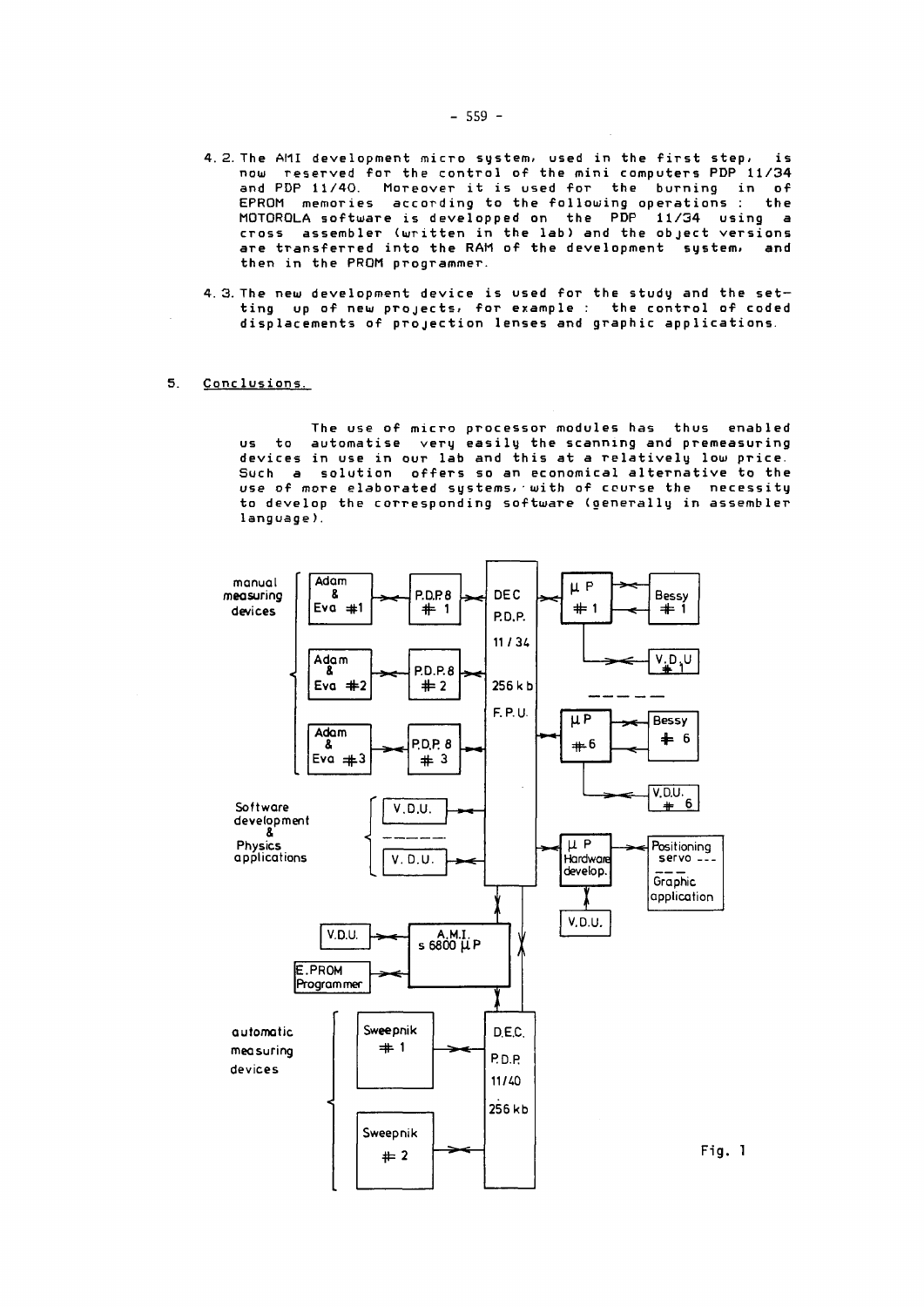- 4. 2. The AMI development micro system, used in the first step, is now reserved for the control of the mini computers PDP 11/34 and PDP 11/40. Moreover it is used for the burning in of EPROM memories according to the following operations : the MOTOROLA software is developped on the PDP 11/34 using a cross assembler (written in the lab) and the object versions are transferred into the RAM of the development system, and then in the PROM programmer.
- 4. 3. The new development device is used for the study and the setting up of new projects, for example : the control of coded displacements of projection lenses and graphic applications.
- 5. Conclusions.

The use of micro processor modules has thus enabled us to automatise very easily the scanning and premeasuring devices in use in our lab and this at a relatively low price. Such a solution offers so an economical alternative to the use of more elaborated systems, with of course the necessity to develop the corresponding software (generally in assembler language) .

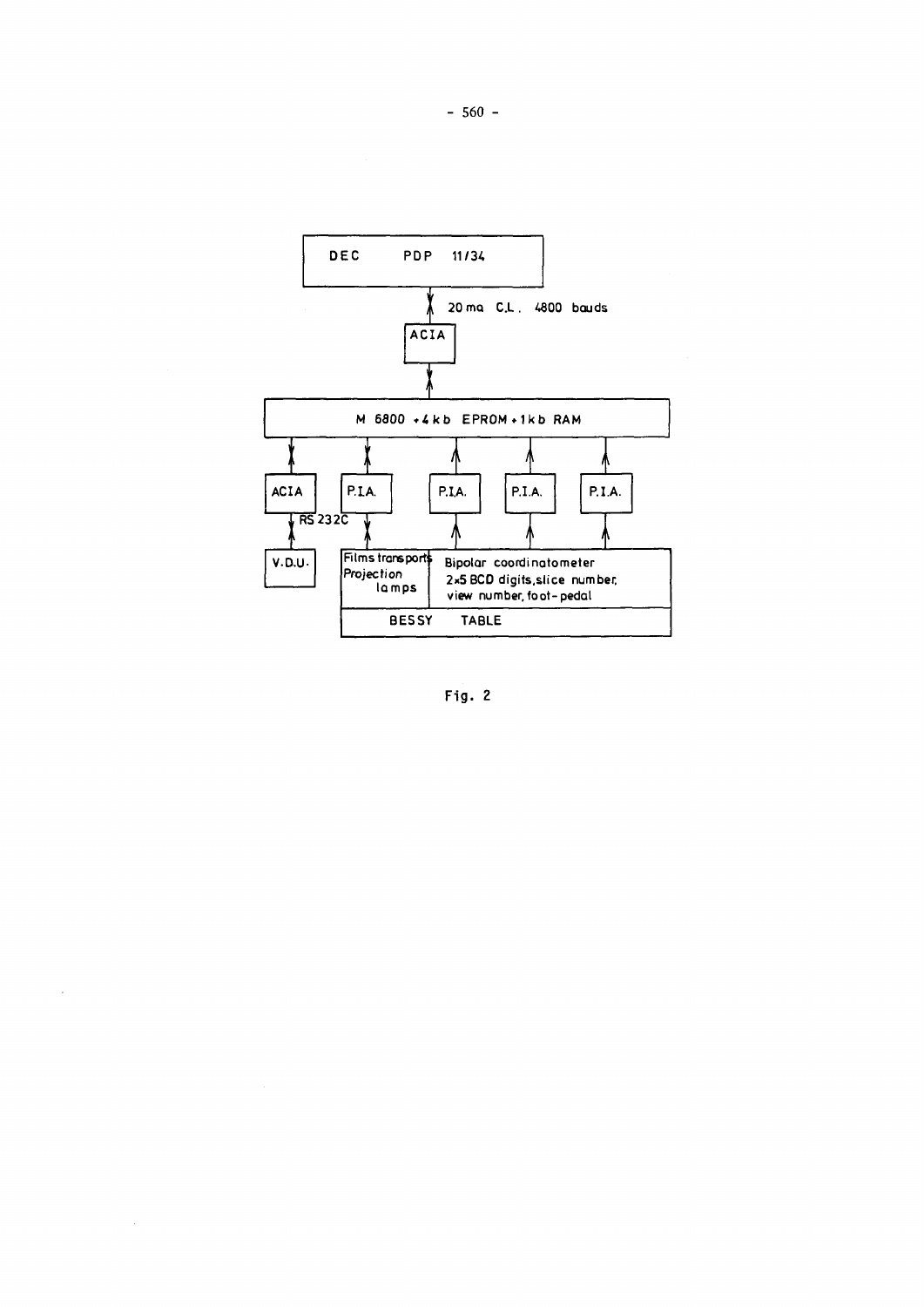

Fig. 2

 $\overline{\phantom{a}}$